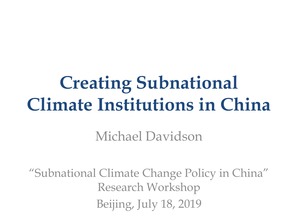# **Creating Subnational Climate Institutions in China**

Michael Davidson

"Subnational Climate Change Policy in China" Research Workshop Beijing, July 18, 2019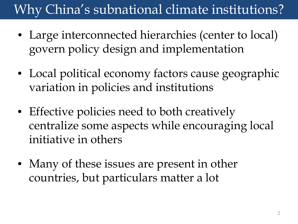# Why China's subnational climate institutions?

- Large interconnected hierarchies (center to local) govern policy design and implementation
- Local political economy factors cause geographic variation in policies and institutions
- Effective policies need to both creatively centralize some aspects while encouraging local initiative in others
- Many of these issues are present in other countries, but particulars matter a lot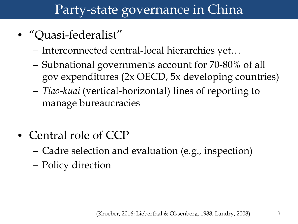#### Party-state governance in China

- "Quasi-federalist"
	- Interconnected central-local hierarchies yet…
	- Subnational governments account for 70-80% of all gov expenditures (2x OECD, 5x developing countries)
	- *Tiao-kuai* (vertical-horizontal) lines of reporting to manage bureaucracies
- Central role of CCP
	- Cadre selection and evaluation (e.g., inspection)
	- Policy direction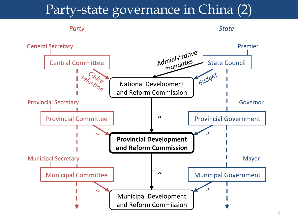#### Party-state governance in China (2)

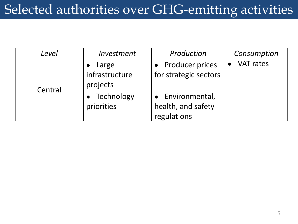### Selected authorities over GHG-emitting activities

| Level   | Investment     | Production            | Consumption      |
|---------|----------------|-----------------------|------------------|
| Central | Large          | • Producer prices     | <b>VAT rates</b> |
|         | infrastructure | for strategic sectors |                  |
|         | projects       |                       |                  |
|         | Technology     | • Environmental,      |                  |
|         | priorities     | health, and safety    |                  |
|         |                | regulations           |                  |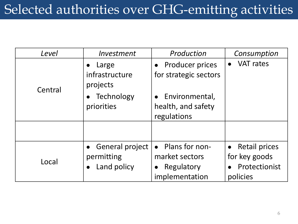### Selected authorities over GHG-emitting activities

| Level   | Investment                                     | Production                                                                      | Consumption                                                   |
|---------|------------------------------------------------|---------------------------------------------------------------------------------|---------------------------------------------------------------|
| Central | Large<br>infrastructure<br>projects            | • Producer prices<br>for strategic sectors                                      | <b>VAT rates</b>                                              |
|         | • Technology<br>priorities                     | Environmental,<br>health, and safety<br>regulations                             |                                                               |
|         |                                                |                                                                                 |                                                               |
| Local   | • General project<br>permitting<br>Land policy | • Plans for non-<br>market sectors<br>Regulatory<br>$\bullet$<br>implementation | • Retail prices<br>for key goods<br>Protectionist<br>policies |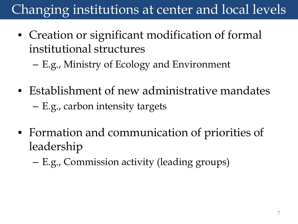# Changing institutions at center and local levels

- Creation or significant modification of formal institutional structures
	- E.g., Ministry of Ecology and Environment
- Establishment of new administrative mandates – E.g., carbon intensity targets
- Formation and communication of priorities of leadership
	- E.g., Commission activity (leading groups)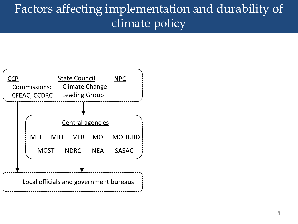#### Factors affecting implementation and durability of climate policy

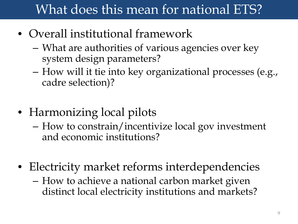#### What does this mean for national ETS?

- Overall institutional framework
	- What are authorities of various agencies over key system design parameters?
	- How will it tie into key organizational processes (e.g., cadre selection)?
- Harmonizing local pilots
	- How to constrain/incentivize local gov investment and economic institutions?
- Electricity market reforms interdependencies
	- How to achieve a national carbon market given distinct local electricity institutions and markets?